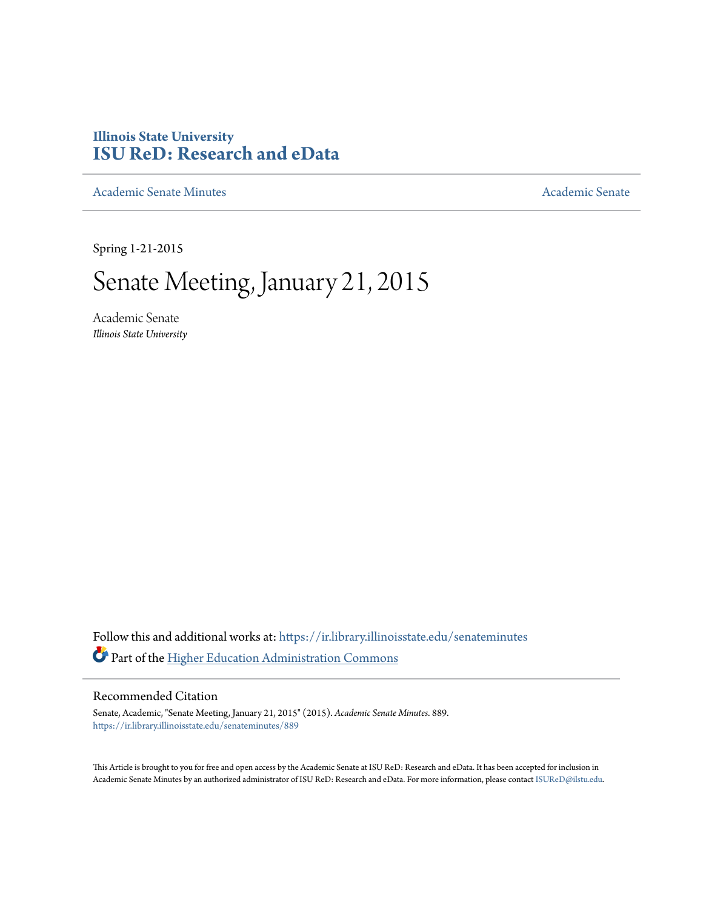## **Illinois State University [ISU ReD: Research and eData](https://ir.library.illinoisstate.edu?utm_source=ir.library.illinoisstate.edu%2Fsenateminutes%2F889&utm_medium=PDF&utm_campaign=PDFCoverPages)**

[Academic Senate Minutes](https://ir.library.illinoisstate.edu/senateminutes?utm_source=ir.library.illinoisstate.edu%2Fsenateminutes%2F889&utm_medium=PDF&utm_campaign=PDFCoverPages) [Academic Senate](https://ir.library.illinoisstate.edu/senate?utm_source=ir.library.illinoisstate.edu%2Fsenateminutes%2F889&utm_medium=PDF&utm_campaign=PDFCoverPages) Academic Senate

Spring 1-21-2015

# Senate Meeting, January 21, 2015

Academic Senate *Illinois State University*

Follow this and additional works at: [https://ir.library.illinoisstate.edu/senateminutes](https://ir.library.illinoisstate.edu/senateminutes?utm_source=ir.library.illinoisstate.edu%2Fsenateminutes%2F889&utm_medium=PDF&utm_campaign=PDFCoverPages) Part of the [Higher Education Administration Commons](http://network.bepress.com/hgg/discipline/791?utm_source=ir.library.illinoisstate.edu%2Fsenateminutes%2F889&utm_medium=PDF&utm_campaign=PDFCoverPages)

#### Recommended Citation

Senate, Academic, "Senate Meeting, January 21, 2015" (2015). *Academic Senate Minutes*. 889. [https://ir.library.illinoisstate.edu/senateminutes/889](https://ir.library.illinoisstate.edu/senateminutes/889?utm_source=ir.library.illinoisstate.edu%2Fsenateminutes%2F889&utm_medium=PDF&utm_campaign=PDFCoverPages)

This Article is brought to you for free and open access by the Academic Senate at ISU ReD: Research and eData. It has been accepted for inclusion in Academic Senate Minutes by an authorized administrator of ISU ReD: Research and eData. For more information, please contact [ISUReD@ilstu.edu.](mailto:ISUReD@ilstu.edu)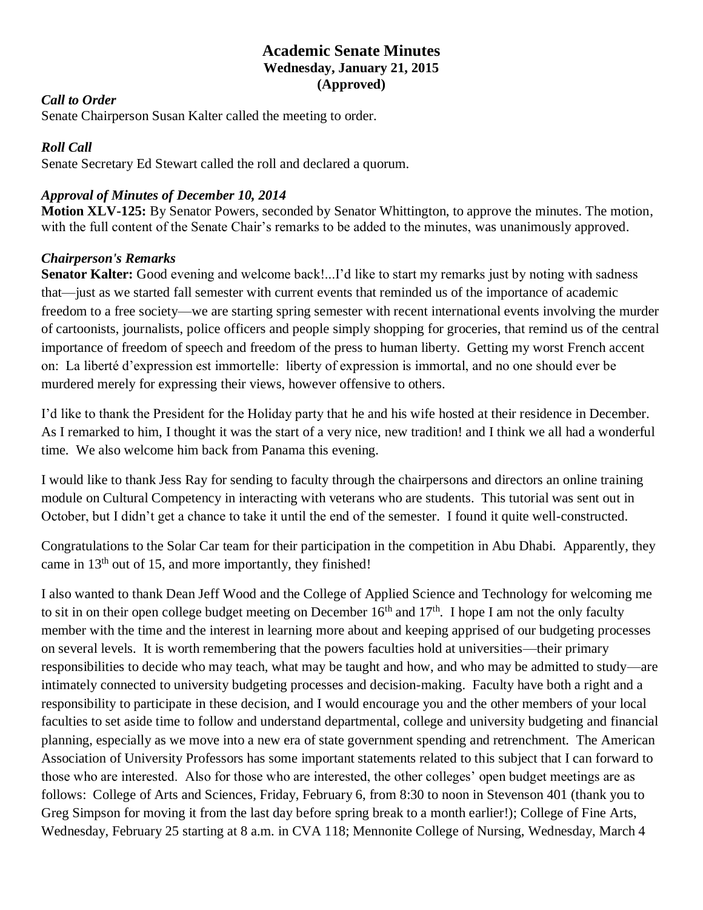## **Academic Senate Minutes Wednesday, January 21, 2015 (Approved)**

#### *Call to Order*

Senate Chairperson Susan Kalter called the meeting to order.

## *Roll Call*

Senate Secretary Ed Stewart called the roll and declared a quorum.

## *Approval of Minutes of December 10, 2014*

**Motion XLV-125:** By Senator Powers, seconded by Senator Whittington, to approve the minutes. The motion, with the full content of the Senate Chair's remarks to be added to the minutes, was unanimously approved.

## *Chairperson's Remarks*

**Senator Kalter:** Good evening and welcome back!...I'd like to start my remarks just by noting with sadness that—just as we started fall semester with current events that reminded us of the importance of academic freedom to a free society—we are starting spring semester with recent international events involving the murder of cartoonists, journalists, police officers and people simply shopping for groceries, that remind us of the central importance of freedom of speech and freedom of the press to human liberty. Getting my worst French accent on: La liberté d'expression est immortelle: liberty of expression is immortal, and no one should ever be murdered merely for expressing their views, however offensive to others.

I'd like to thank the President for the Holiday party that he and his wife hosted at their residence in December. As I remarked to him, I thought it was the start of a very nice, new tradition! and I think we all had a wonderful time. We also welcome him back from Panama this evening.

I would like to thank Jess Ray for sending to faculty through the chairpersons and directors an online training module on Cultural Competency in interacting with veterans who are students. This tutorial was sent out in October, but I didn't get a chance to take it until the end of the semester. I found it quite well-constructed.

Congratulations to the Solar Car team for their participation in the competition in Abu Dhabi. Apparently, they came in 13<sup>th</sup> out of 15, and more importantly, they finished!

I also wanted to thank Dean Jeff Wood and the College of Applied Science and Technology for welcoming me to sit in on their open college budget meeting on December  $16<sup>th</sup>$  and  $17<sup>th</sup>$ . I hope I am not the only faculty member with the time and the interest in learning more about and keeping apprised of our budgeting processes on several levels. It is worth remembering that the powers faculties hold at universities—their primary responsibilities to decide who may teach, what may be taught and how, and who may be admitted to study—are intimately connected to university budgeting processes and decision-making. Faculty have both a right and a responsibility to participate in these decision, and I would encourage you and the other members of your local faculties to set aside time to follow and understand departmental, college and university budgeting and financial planning, especially as we move into a new era of state government spending and retrenchment. The American Association of University Professors has some important statements related to this subject that I can forward to those who are interested. Also for those who are interested, the other colleges' open budget meetings are as follows: College of Arts and Sciences, Friday, February 6, from 8:30 to noon in Stevenson 401 (thank you to Greg Simpson for moving it from the last day before spring break to a month earlier!); College of Fine Arts, Wednesday, February 25 starting at 8 a.m. in CVA 118; Mennonite College of Nursing, Wednesday, March 4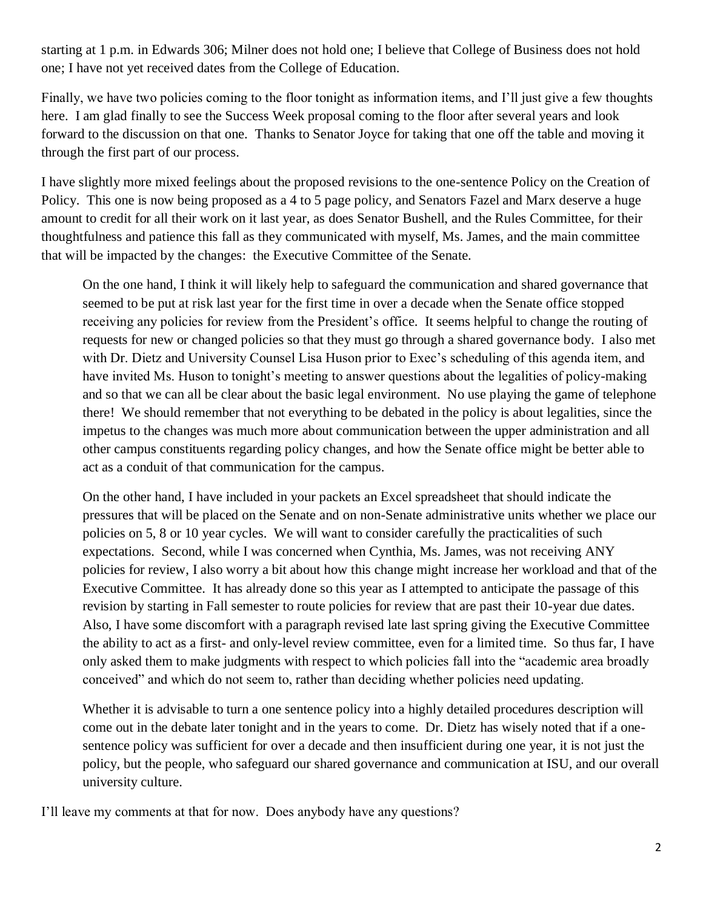starting at 1 p.m. in Edwards 306; Milner does not hold one; I believe that College of Business does not hold one; I have not yet received dates from the College of Education.

Finally, we have two policies coming to the floor tonight as information items, and I'll just give a few thoughts here. I am glad finally to see the Success Week proposal coming to the floor after several years and look forward to the discussion on that one. Thanks to Senator Joyce for taking that one off the table and moving it through the first part of our process.

I have slightly more mixed feelings about the proposed revisions to the one-sentence Policy on the Creation of Policy. This one is now being proposed as a 4 to 5 page policy, and Senators Fazel and Marx deserve a huge amount to credit for all their work on it last year, as does Senator Bushell, and the Rules Committee, for their thoughtfulness and patience this fall as they communicated with myself, Ms. James, and the main committee that will be impacted by the changes: the Executive Committee of the Senate.

On the one hand, I think it will likely help to safeguard the communication and shared governance that seemed to be put at risk last year for the first time in over a decade when the Senate office stopped receiving any policies for review from the President's office. It seems helpful to change the routing of requests for new or changed policies so that they must go through a shared governance body. I also met with Dr. Dietz and University Counsel Lisa Huson prior to Exec's scheduling of this agenda item, and have invited Ms. Huson to tonight's meeting to answer questions about the legalities of policy-making and so that we can all be clear about the basic legal environment. No use playing the game of telephone there! We should remember that not everything to be debated in the policy is about legalities, since the impetus to the changes was much more about communication between the upper administration and all other campus constituents regarding policy changes, and how the Senate office might be better able to act as a conduit of that communication for the campus.

On the other hand, I have included in your packets an Excel spreadsheet that should indicate the pressures that will be placed on the Senate and on non-Senate administrative units whether we place our policies on 5, 8 or 10 year cycles. We will want to consider carefully the practicalities of such expectations. Second, while I was concerned when Cynthia, Ms. James, was not receiving ANY policies for review, I also worry a bit about how this change might increase her workload and that of the Executive Committee. It has already done so this year as I attempted to anticipate the passage of this revision by starting in Fall semester to route policies for review that are past their 10-year due dates. Also, I have some discomfort with a paragraph revised late last spring giving the Executive Committee the ability to act as a first- and only-level review committee, even for a limited time. So thus far, I have only asked them to make judgments with respect to which policies fall into the "academic area broadly conceived" and which do not seem to, rather than deciding whether policies need updating.

Whether it is advisable to turn a one sentence policy into a highly detailed procedures description will come out in the debate later tonight and in the years to come. Dr. Dietz has wisely noted that if a onesentence policy was sufficient for over a decade and then insufficient during one year, it is not just the policy, but the people, who safeguard our shared governance and communication at ISU, and our overall university culture.

I'll leave my comments at that for now. Does anybody have any questions?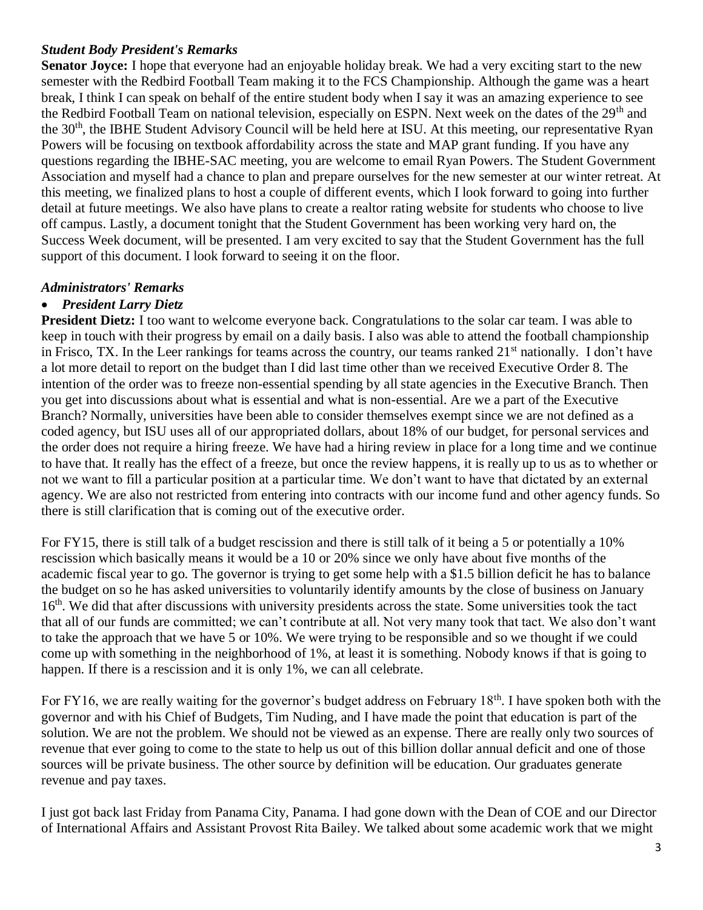## *Student Body President's Remarks*

**Senator Joyce:** I hope that everyone had an enjoyable holiday break. We had a very exciting start to the new semester with the Redbird Football Team making it to the FCS Championship. Although the game was a heart break, I think I can speak on behalf of the entire student body when I say it was an amazing experience to see the Redbird Football Team on national television, especially on ESPN. Next week on the dates of the 29<sup>th</sup> and the 30th, the IBHE Student Advisory Council will be held here at ISU. At this meeting, our representative Ryan Powers will be focusing on textbook affordability across the state and MAP grant funding. If you have any questions regarding the IBHE-SAC meeting, you are welcome to email Ryan Powers. The Student Government Association and myself had a chance to plan and prepare ourselves for the new semester at our winter retreat. At this meeting, we finalized plans to host a couple of different events, which I look forward to going into further detail at future meetings. We also have plans to create a realtor rating website for students who choose to live off campus. Lastly, a document tonight that the Student Government has been working very hard on, the Success Week document, will be presented. I am very excited to say that the Student Government has the full support of this document. I look forward to seeing it on the floor.

## *Administrators' Remarks*

## • *President Larry Dietz*

**President Dietz:** I too want to welcome everyone back. Congratulations to the solar car team. I was able to keep in touch with their progress by email on a daily basis. I also was able to attend the football championship in Frisco, TX. In the Leer rankings for teams across the country, our teams ranked 21<sup>st</sup> nationally. I don't have a lot more detail to report on the budget than I did last time other than we received Executive Order 8. The intention of the order was to freeze non-essential spending by all state agencies in the Executive Branch. Then you get into discussions about what is essential and what is non-essential. Are we a part of the Executive Branch? Normally, universities have been able to consider themselves exempt since we are not defined as a coded agency, but ISU uses all of our appropriated dollars, about 18% of our budget, for personal services and the order does not require a hiring freeze. We have had a hiring review in place for a long time and we continue to have that. It really has the effect of a freeze, but once the review happens, it is really up to us as to whether or not we want to fill a particular position at a particular time. We don't want to have that dictated by an external agency. We are also not restricted from entering into contracts with our income fund and other agency funds. So there is still clarification that is coming out of the executive order.

For FY15, there is still talk of a budget rescission and there is still talk of it being a 5 or potentially a 10% rescission which basically means it would be a 10 or 20% since we only have about five months of the academic fiscal year to go. The governor is trying to get some help with a \$1.5 billion deficit he has to balance the budget on so he has asked universities to voluntarily identify amounts by the close of business on January 16<sup>th</sup>. We did that after discussions with university presidents across the state. Some universities took the tact that all of our funds are committed; we can't contribute at all. Not very many took that tact. We also don't want to take the approach that we have 5 or 10%. We were trying to be responsible and so we thought if we could come up with something in the neighborhood of 1%, at least it is something. Nobody knows if that is going to happen. If there is a rescission and it is only 1%, we can all celebrate.

For FY16, we are really waiting for the governor's budget address on February 18<sup>th</sup>. I have spoken both with the governor and with his Chief of Budgets, Tim Nuding, and I have made the point that education is part of the solution. We are not the problem. We should not be viewed as an expense. There are really only two sources of revenue that ever going to come to the state to help us out of this billion dollar annual deficit and one of those sources will be private business. The other source by definition will be education. Our graduates generate revenue and pay taxes.

I just got back last Friday from Panama City, Panama. I had gone down with the Dean of COE and our Director of International Affairs and Assistant Provost Rita Bailey. We talked about some academic work that we might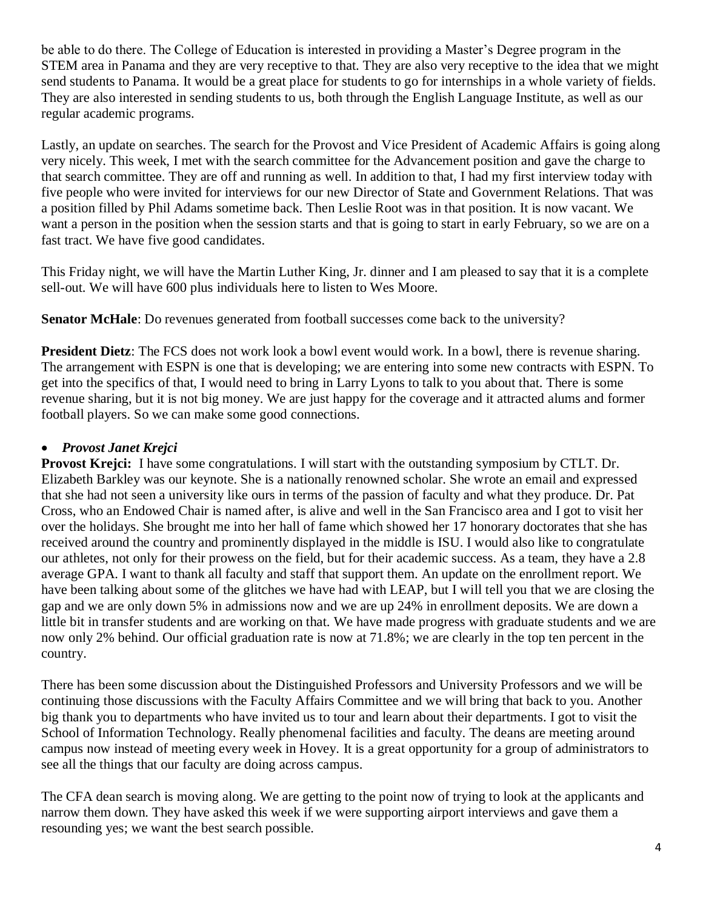be able to do there. The College of Education is interested in providing a Master's Degree program in the STEM area in Panama and they are very receptive to that. They are also very receptive to the idea that we might send students to Panama. It would be a great place for students to go for internships in a whole variety of fields. They are also interested in sending students to us, both through the English Language Institute, as well as our regular academic programs.

Lastly, an update on searches. The search for the Provost and Vice President of Academic Affairs is going along very nicely. This week, I met with the search committee for the Advancement position and gave the charge to that search committee. They are off and running as well. In addition to that, I had my first interview today with five people who were invited for interviews for our new Director of State and Government Relations. That was a position filled by Phil Adams sometime back. Then Leslie Root was in that position. It is now vacant. We want a person in the position when the session starts and that is going to start in early February, so we are on a fast tract. We have five good candidates.

This Friday night, we will have the Martin Luther King, Jr. dinner and I am pleased to say that it is a complete sell-out. We will have 600 plus individuals here to listen to Wes Moore.

**Senator McHale**: Do revenues generated from football successes come back to the university?

**President Dietz**: The FCS does not work look a bowl event would work. In a bowl, there is revenue sharing. The arrangement with ESPN is one that is developing; we are entering into some new contracts with ESPN. To get into the specifics of that, I would need to bring in Larry Lyons to talk to you about that. There is some revenue sharing, but it is not big money. We are just happy for the coverage and it attracted alums and former football players. So we can make some good connections.

## • *Provost Janet Krejci*

**Provost Kreici:** I have some congratulations. I will start with the outstanding symposium by CTLT. Dr. Elizabeth Barkley was our keynote. She is a nationally renowned scholar. She wrote an email and expressed that she had not seen a university like ours in terms of the passion of faculty and what they produce. Dr. Pat Cross, who an Endowed Chair is named after, is alive and well in the San Francisco area and I got to visit her over the holidays. She brought me into her hall of fame which showed her 17 honorary doctorates that she has received around the country and prominently displayed in the middle is ISU. I would also like to congratulate our athletes, not only for their prowess on the field, but for their academic success. As a team, they have a 2.8 average GPA. I want to thank all faculty and staff that support them. An update on the enrollment report. We have been talking about some of the glitches we have had with LEAP, but I will tell you that we are closing the gap and we are only down 5% in admissions now and we are up 24% in enrollment deposits. We are down a little bit in transfer students and are working on that. We have made progress with graduate students and we are now only 2% behind. Our official graduation rate is now at 71.8%; we are clearly in the top ten percent in the country.

There has been some discussion about the Distinguished Professors and University Professors and we will be continuing those discussions with the Faculty Affairs Committee and we will bring that back to you. Another big thank you to departments who have invited us to tour and learn about their departments. I got to visit the School of Information Technology. Really phenomenal facilities and faculty. The deans are meeting around campus now instead of meeting every week in Hovey. It is a great opportunity for a group of administrators to see all the things that our faculty are doing across campus.

The CFA dean search is moving along. We are getting to the point now of trying to look at the applicants and narrow them down. They have asked this week if we were supporting airport interviews and gave them a resounding yes; we want the best search possible.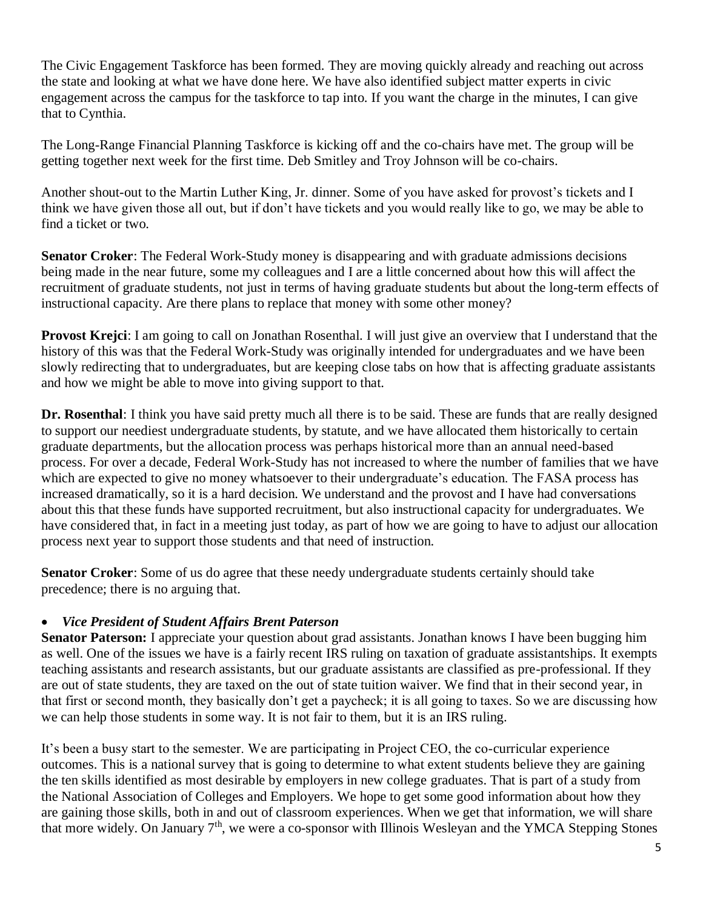The Civic Engagement Taskforce has been formed. They are moving quickly already and reaching out across the state and looking at what we have done here. We have also identified subject matter experts in civic engagement across the campus for the taskforce to tap into. If you want the charge in the minutes, I can give that to Cynthia.

The Long-Range Financial Planning Taskforce is kicking off and the co-chairs have met. The group will be getting together next week for the first time. Deb Smitley and Troy Johnson will be co-chairs.

Another shout-out to the Martin Luther King, Jr. dinner. Some of you have asked for provost's tickets and I think we have given those all out, but if don't have tickets and you would really like to go, we may be able to find a ticket or two.

**Senator Croker**: The Federal Work-Study money is disappearing and with graduate admissions decisions being made in the near future, some my colleagues and I are a little concerned about how this will affect the recruitment of graduate students, not just in terms of having graduate students but about the long-term effects of instructional capacity. Are there plans to replace that money with some other money?

**Provost Krejci**: I am going to call on Jonathan Rosenthal. I will just give an overview that I understand that the history of this was that the Federal Work-Study was originally intended for undergraduates and we have been slowly redirecting that to undergraduates, but are keeping close tabs on how that is affecting graduate assistants and how we might be able to move into giving support to that.

**Dr. Rosenthal**: I think you have said pretty much all there is to be said. These are funds that are really designed to support our neediest undergraduate students, by statute, and we have allocated them historically to certain graduate departments, but the allocation process was perhaps historical more than an annual need-based process. For over a decade, Federal Work-Study has not increased to where the number of families that we have which are expected to give no money whatsoever to their undergraduate's education. The FASA process has increased dramatically, so it is a hard decision. We understand and the provost and I have had conversations about this that these funds have supported recruitment, but also instructional capacity for undergraduates. We have considered that, in fact in a meeting just today, as part of how we are going to have to adjust our allocation process next year to support those students and that need of instruction.

**Senator Croker**: Some of us do agree that these needy undergraduate students certainly should take precedence; there is no arguing that.

## • *Vice President of Student Affairs Brent Paterson*

**Senator Paterson:** I appreciate your question about grad assistants. Jonathan knows I have been bugging him as well. One of the issues we have is a fairly recent IRS ruling on taxation of graduate assistantships. It exempts teaching assistants and research assistants, but our graduate assistants are classified as pre-professional. If they are out of state students, they are taxed on the out of state tuition waiver. We find that in their second year, in that first or second month, they basically don't get a paycheck; it is all going to taxes. So we are discussing how we can help those students in some way. It is not fair to them, but it is an IRS ruling.

It's been a busy start to the semester. We are participating in Project CEO, the co-curricular experience outcomes. This is a national survey that is going to determine to what extent students believe they are gaining the ten skills identified as most desirable by employers in new college graduates. That is part of a study from the National Association of Colleges and Employers. We hope to get some good information about how they are gaining those skills, both in and out of classroom experiences. When we get that information, we will share that more widely. On January  $7<sup>th</sup>$ , we were a co-sponsor with Illinois Wesleyan and the YMCA Stepping Stones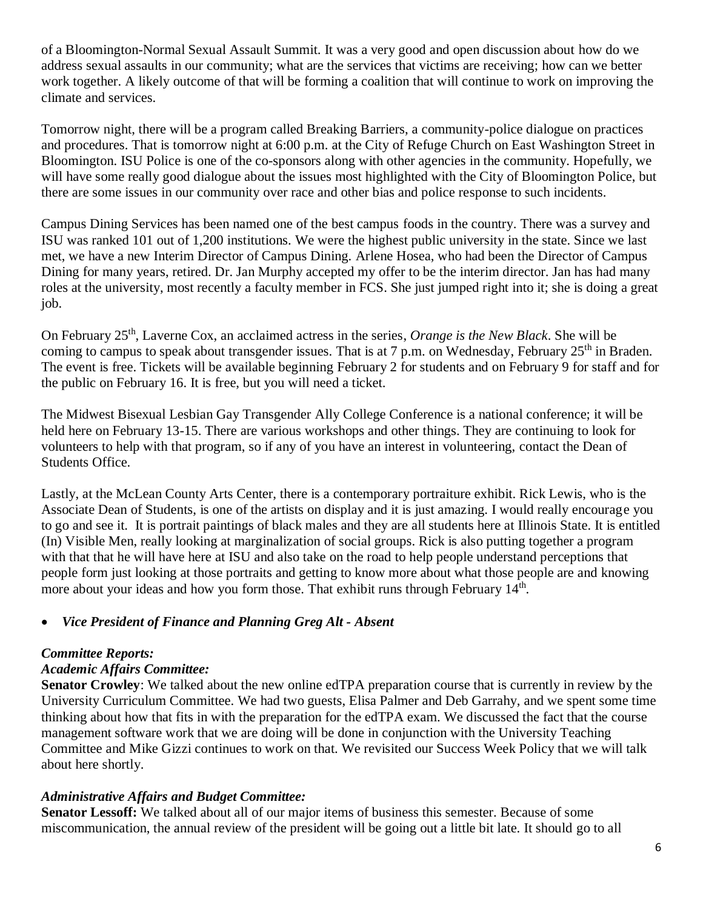of a Bloomington-Normal Sexual Assault Summit. It was a very good and open discussion about how do we address sexual assaults in our community; what are the services that victims are receiving; how can we better work together. A likely outcome of that will be forming a coalition that will continue to work on improving the climate and services.

Tomorrow night, there will be a program called Breaking Barriers, a community-police dialogue on practices and procedures. That is tomorrow night at 6:00 p.m. at the City of Refuge Church on East Washington Street in Bloomington. ISU Police is one of the co-sponsors along with other agencies in the community. Hopefully, we will have some really good dialogue about the issues most highlighted with the City of Bloomington Police, but there are some issues in our community over race and other bias and police response to such incidents.

Campus Dining Services has been named one of the best campus foods in the country. There was a survey and ISU was ranked 101 out of 1,200 institutions. We were the highest public university in the state. Since we last met, we have a new Interim Director of Campus Dining. Arlene Hosea, who had been the Director of Campus Dining for many years, retired. Dr. Jan Murphy accepted my offer to be the interim director. Jan has had many roles at the university, most recently a faculty member in FCS. She just jumped right into it; she is doing a great job.

On February 25th, Laverne Cox, an acclaimed actress in the series, *Orange is the New Black*. She will be coming to campus to speak about transgender issues. That is at 7 p.m. on Wednesday, February 25<sup>th</sup> in Braden. The event is free. Tickets will be available beginning February 2 for students and on February 9 for staff and for the public on February 16. It is free, but you will need a ticket.

The Midwest Bisexual Lesbian Gay Transgender Ally College Conference is a national conference; it will be held here on February 13-15. There are various workshops and other things. They are continuing to look for volunteers to help with that program, so if any of you have an interest in volunteering, contact the Dean of Students Office.

Lastly, at the McLean County Arts Center, there is a contemporary portraiture exhibit. Rick Lewis, who is the Associate Dean of Students, is one of the artists on display and it is just amazing. I would really encourage you to go and see it. It is portrait paintings of black males and they are all students here at Illinois State. It is entitled (In) Visible Men, really looking at marginalization of social groups. Rick is also putting together a program with that that he will have here at ISU and also take on the road to help people understand perceptions that people form just looking at those portraits and getting to know more about what those people are and knowing more about your ideas and how you form those. That exhibit runs through February 14<sup>th</sup>.

## • *Vice President of Finance and Planning Greg Alt - Absent*

#### *Committee Reports:*

#### *Academic Affairs Committee:*

**Senator Crowley**: We talked about the new online edTPA preparation course that is currently in review by the University Curriculum Committee. We had two guests, Elisa Palmer and Deb Garrahy, and we spent some time thinking about how that fits in with the preparation for the edTPA exam. We discussed the fact that the course management software work that we are doing will be done in conjunction with the University Teaching Committee and Mike Gizzi continues to work on that. We revisited our Success Week Policy that we will talk about here shortly.

#### *Administrative Affairs and Budget Committee:*

**Senator Lessoff:** We talked about all of our major items of business this semester. Because of some miscommunication, the annual review of the president will be going out a little bit late. It should go to all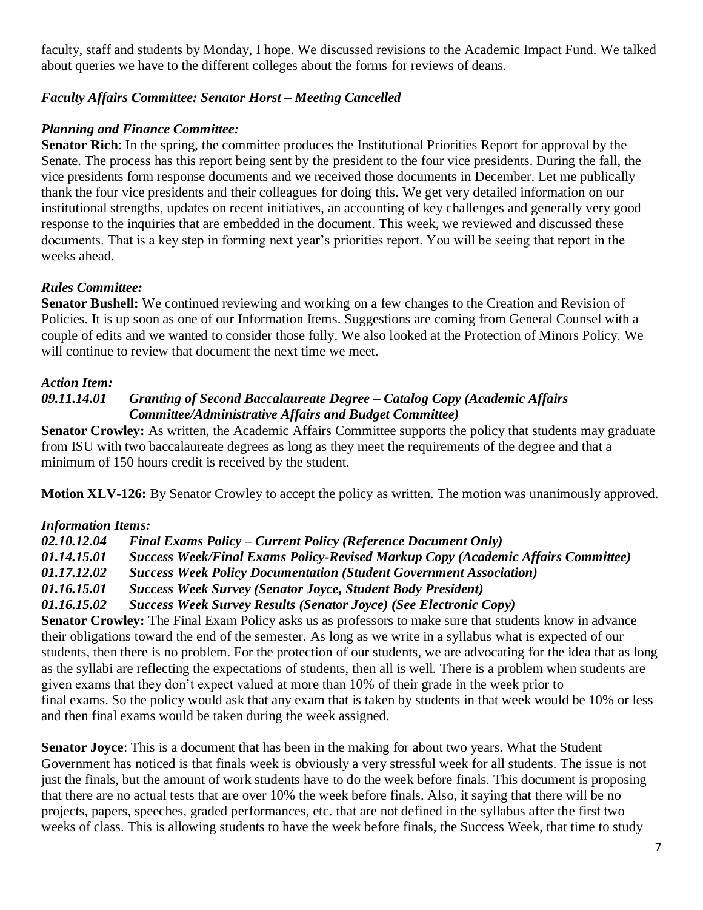faculty, staff and students by Monday, I hope. We discussed revisions to the Academic Impact Fund. We talked about queries we have to the different colleges about the forms for reviews of deans.

## *Faculty Affairs Committee: Senator Horst – Meeting Cancelled*

## *Planning and Finance Committee:*

**Senator Rich**: In the spring, the committee produces the Institutional Priorities Report for approval by the Senate. The process has this report being sent by the president to the four vice presidents. During the fall, the vice presidents form response documents and we received those documents in December. Let me publically thank the four vice presidents and their colleagues for doing this. We get very detailed information on our institutional strengths, updates on recent initiatives, an accounting of key challenges and generally very good response to the inquiries that are embedded in the document. This week, we reviewed and discussed these documents. That is a key step in forming next year's priorities report. You will be seeing that report in the weeks ahead.

## *Rules Committee:*

**Senator Bushell:** We continued reviewing and working on a few changes to the Creation and Revision of Policies. It is up soon as one of our Information Items. Suggestions are coming from General Counsel with a couple of edits and we wanted to consider those fully. We also looked at the Protection of Minors Policy. We will continue to review that document the next time we meet.

#### *Action Item:*

#### *09.11.14.01 Granting of Second Baccalaureate Degree – Catalog Copy (Academic Affairs Committee/Administrative Affairs and Budget Committee)*

**Senator Crowley:** As written, the Academic Affairs Committee supports the policy that students may graduate from ISU with two baccalaureate degrees as long as they meet the requirements of the degree and that a minimum of 150 hours credit is received by the student.

**Motion XLV-126:** By Senator Crowley to accept the policy as written. The motion was unanimously approved.

#### *Information Items:*

*02.10.12.04 Final Exams Policy – Current Policy (Reference Document Only)*

- *01.14.15.01 Success Week/Final Exams Policy-Revised Markup Copy (Academic Affairs Committee)*
- *01.17.12.02 Success Week Policy Documentation (Student Government Association)*

*01.16.15.01 Success Week Survey (Senator Joyce, Student Body President)*

*01.16.15.02 Success Week Survey Results (Senator Joyce) (See Electronic Copy)*

**Senator Crowley:** The Final Exam Policy asks us as professors to make sure that students know in advance their obligations toward the end of the semester. As long as we write in a syllabus what is expected of our students, then there is no problem. For the protection of our students, we are advocating for the idea that as long as the syllabi are reflecting the expectations of students, then all is well. There is a problem when students are given exams that they don't expect valued at more than 10% of their grade in the week prior to final exams. So the policy would ask that any exam that is taken by students in that week would be 10% or less and then final exams would be taken during the week assigned.

**Senator Joyce**: This is a document that has been in the making for about two years. What the Student Government has noticed is that finals week is obviously a very stressful week for all students. The issue is not just the finals, but the amount of work students have to do the week before finals. This document is proposing that there are no actual tests that are over 10% the week before finals. Also, it saying that there will be no projects, papers, speeches, graded performances, etc. that are not defined in the syllabus after the first two weeks of class. This is allowing students to have the week before finals, the Success Week, that time to study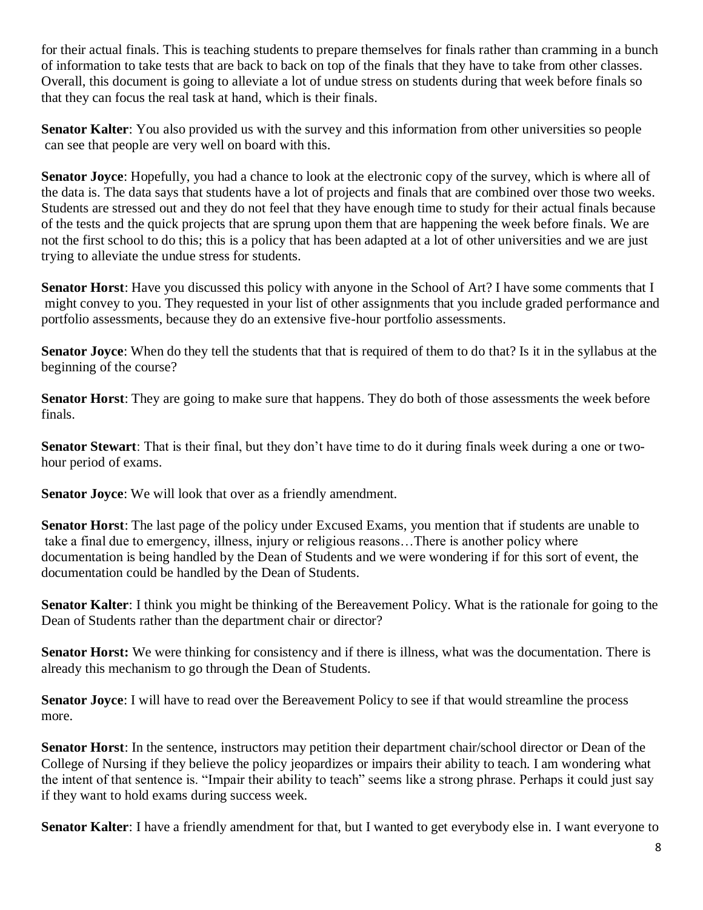for their actual finals. This is teaching students to prepare themselves for finals rather than cramming in a bunch of information to take tests that are back to back on top of the finals that they have to take from other classes. Overall, this document is going to alleviate a lot of undue stress on students during that week before finals so that they can focus the real task at hand, which is their finals.

**Senator Kalter**: You also provided us with the survey and this information from other universities so people can see that people are very well on board with this.

**Senator Joyce**: Hopefully, you had a chance to look at the electronic copy of the survey, which is where all of the data is. The data says that students have a lot of projects and finals that are combined over those two weeks. Students are stressed out and they do not feel that they have enough time to study for their actual finals because of the tests and the quick projects that are sprung upon them that are happening the week before finals. We are not the first school to do this; this is a policy that has been adapted at a lot of other universities and we are just trying to alleviate the undue stress for students.

**Senator Horst**: Have you discussed this policy with anyone in the School of Art? I have some comments that I might convey to you. They requested in your list of other assignments that you include graded performance and portfolio assessments, because they do an extensive five-hour portfolio assessments.

**Senator Joyce**: When do they tell the students that that is required of them to do that? Is it in the syllabus at the beginning of the course?

**Senator Horst**: They are going to make sure that happens. They do both of those assessments the week before finals.

**Senator Stewart**: That is their final, but they don't have time to do it during finals week during a one or twohour period of exams.

**Senator Joyce:** We will look that over as a friendly amendment.

**Senator Horst**: The last page of the policy under Excused Exams, you mention that if students are unable to take a final due to emergency, illness, injury or religious reasons…There is another policy where documentation is being handled by the Dean of Students and we were wondering if for this sort of event, the documentation could be handled by the Dean of Students.

**Senator Kalter**: I think you might be thinking of the Bereavement Policy. What is the rationale for going to the Dean of Students rather than the department chair or director?

**Senator Horst:** We were thinking for consistency and if there is illness, what was the documentation. There is already this mechanism to go through the Dean of Students.

**Senator Joyce**: I will have to read over the Bereavement Policy to see if that would streamline the process more.

**Senator Horst**: In the sentence, instructors may petition their department chair/school director or Dean of the College of Nursing if they believe the policy jeopardizes or impairs their ability to teach. I am wondering what the intent of that sentence is. "Impair their ability to teach" seems like a strong phrase. Perhaps it could just say if they want to hold exams during success week.

**Senator Kalter**: I have a friendly amendment for that, but I wanted to get everybody else in. I want everyone to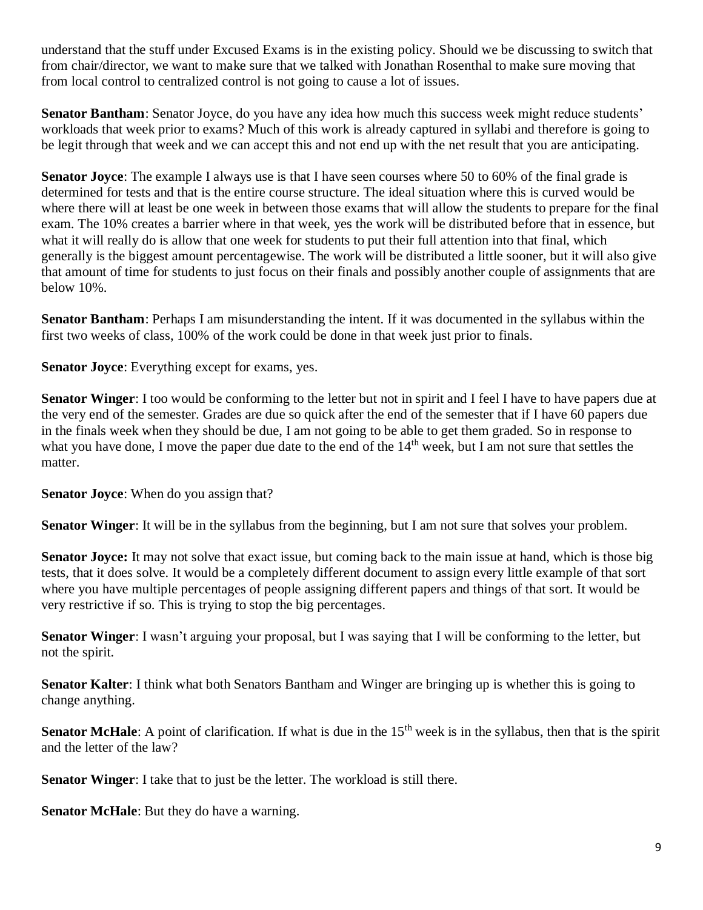understand that the stuff under Excused Exams is in the existing policy. Should we be discussing to switch that from chair/director, we want to make sure that we talked with Jonathan Rosenthal to make sure moving that from local control to centralized control is not going to cause a lot of issues.

**Senator Bantham**: Senator Joyce, do you have any idea how much this success week might reduce students' workloads that week prior to exams? Much of this work is already captured in syllabi and therefore is going to be legit through that week and we can accept this and not end up with the net result that you are anticipating.

**Senator Joyce**: The example I always use is that I have seen courses where 50 to 60% of the final grade is determined for tests and that is the entire course structure. The ideal situation where this is curved would be where there will at least be one week in between those exams that will allow the students to prepare for the final exam. The 10% creates a barrier where in that week, yes the work will be distributed before that in essence, but what it will really do is allow that one week for students to put their full attention into that final, which generally is the biggest amount percentagewise. The work will be distributed a little sooner, but it will also give that amount of time for students to just focus on their finals and possibly another couple of assignments that are below 10%.

**Senator Bantham**: Perhaps I am misunderstanding the intent. If it was documented in the syllabus within the first two weeks of class, 100% of the work could be done in that week just prior to finals.

**Senator Joyce**: Everything except for exams, yes.

**Senator Winger**: I too would be conforming to the letter but not in spirit and I feel I have to have papers due at the very end of the semester. Grades are due so quick after the end of the semester that if I have 60 papers due in the finals week when they should be due, I am not going to be able to get them graded. So in response to what you have done, I move the paper due date to the end of the 14<sup>th</sup> week, but I am not sure that settles the matter.

**Senator Joyce**: When do you assign that?

**Senator Winger**: It will be in the syllabus from the beginning, but I am not sure that solves your problem.

**Senator Joyce:** It may not solve that exact issue, but coming back to the main issue at hand, which is those big tests, that it does solve. It would be a completely different document to assign every little example of that sort where you have multiple percentages of people assigning different papers and things of that sort. It would be very restrictive if so. This is trying to stop the big percentages.

**Senator Winger**: I wasn't arguing your proposal, but I was saying that I will be conforming to the letter, but not the spirit.

**Senator Kalter**: I think what both Senators Bantham and Winger are bringing up is whether this is going to change anything.

**Senator McHale**: A point of clarification. If what is due in the 15<sup>th</sup> week is in the syllabus, then that is the spirit and the letter of the law?

**Senator Winger**: I take that to just be the letter. The workload is still there.

**Senator McHale**: But they do have a warning.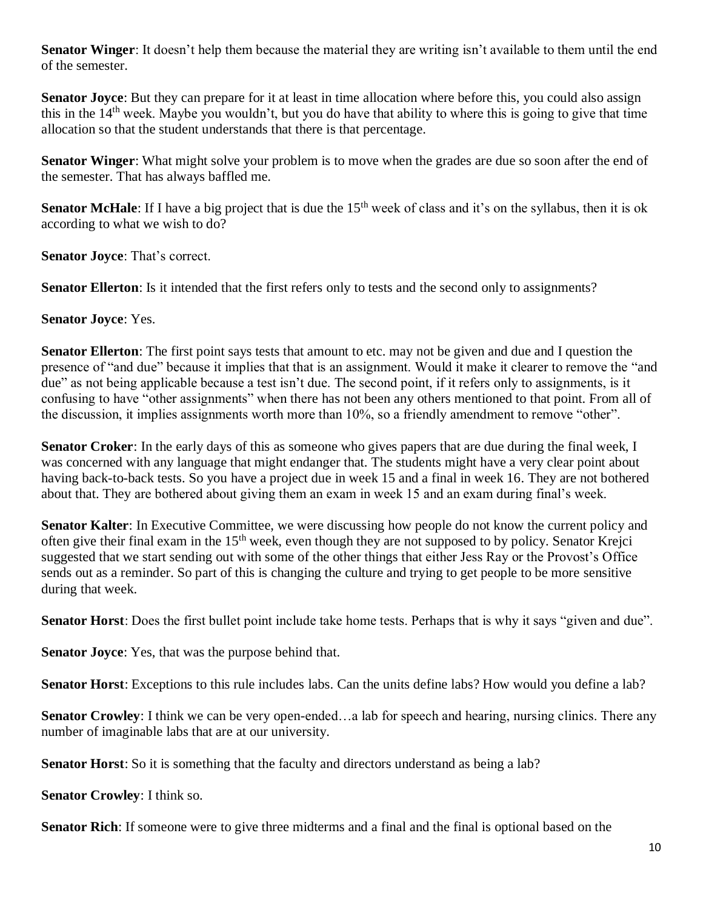**Senator Winger**: It doesn't help them because the material they are writing isn't available to them until the end of the semester.

**Senator Joyce**: But they can prepare for it at least in time allocation where before this, you could also assign this in the 14th week. Maybe you wouldn't, but you do have that ability to where this is going to give that time allocation so that the student understands that there is that percentage.

**Senator Winger**: What might solve your problem is to move when the grades are due so soon after the end of the semester. That has always baffled me.

**Senator McHale**: If I have a big project that is due the 15<sup>th</sup> week of class and it's on the syllabus, then it is ok according to what we wish to do?

**Senator Joyce**: That's correct.

**Senator Ellerton**: Is it intended that the first refers only to tests and the second only to assignments?

#### **Senator Joyce**: Yes.

**Senator Ellerton**: The first point says tests that amount to etc. may not be given and due and I question the presence of "and due" because it implies that that is an assignment. Would it make it clearer to remove the "and due" as not being applicable because a test isn't due. The second point, if it refers only to assignments, is it confusing to have "other assignments" when there has not been any others mentioned to that point. From all of the discussion, it implies assignments worth more than 10%, so a friendly amendment to remove "other".

**Senator Croker**: In the early days of this as someone who gives papers that are due during the final week, I was concerned with any language that might endanger that. The students might have a very clear point about having back-to-back tests. So you have a project due in week 15 and a final in week 16. They are not bothered about that. They are bothered about giving them an exam in week 15 and an exam during final's week.

**Senator Kalter**: In Executive Committee, we were discussing how people do not know the current policy and often give their final exam in the 15th week, even though they are not supposed to by policy. Senator Krejci suggested that we start sending out with some of the other things that either Jess Ray or the Provost's Office sends out as a reminder. So part of this is changing the culture and trying to get people to be more sensitive during that week.

**Senator Horst**: Does the first bullet point include take home tests. Perhaps that is why it says "given and due".

**Senator Joyce**: Yes, that was the purpose behind that.

**Senator Horst**: Exceptions to this rule includes labs. Can the units define labs? How would you define a lab?

**Senator Crowley**: I think we can be very open-ended…a lab for speech and hearing, nursing clinics. There any number of imaginable labs that are at our university.

**Senator Horst**: So it is something that the faculty and directors understand as being a lab?

**Senator Crowley**: I think so.

**Senator Rich**: If someone were to give three midterms and a final and the final is optional based on the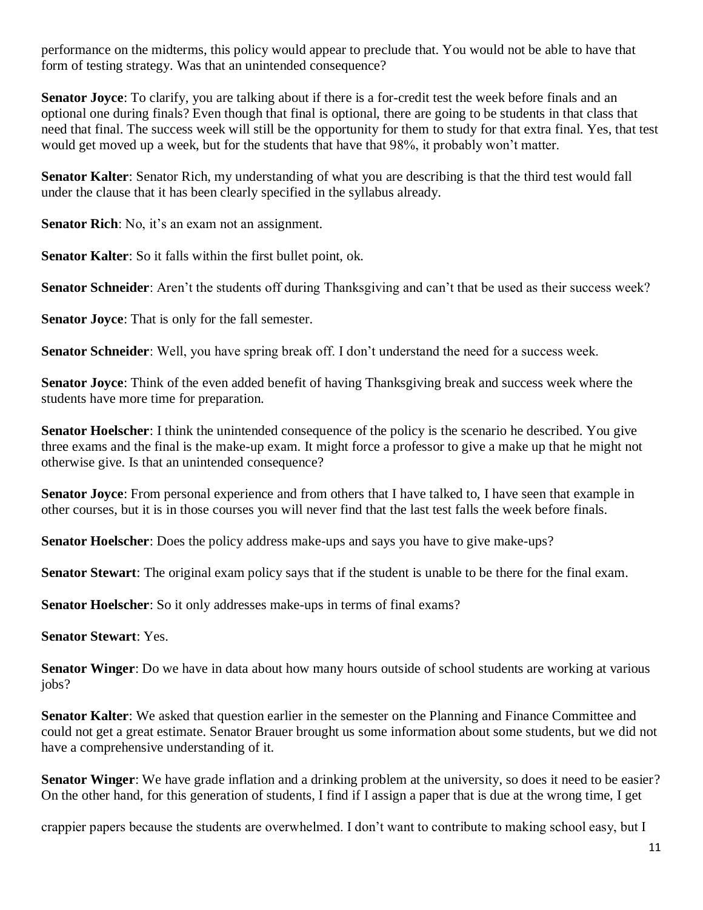performance on the midterms, this policy would appear to preclude that. You would not be able to have that form of testing strategy. Was that an unintended consequence?

**Senator Joyce**: To clarify, you are talking about if there is a for-credit test the week before finals and an optional one during finals? Even though that final is optional, there are going to be students in that class that need that final. The success week will still be the opportunity for them to study for that extra final. Yes, that test would get moved up a week, but for the students that have that 98%, it probably won't matter.

**Senator Kalter**: Senator Rich, my understanding of what you are describing is that the third test would fall under the clause that it has been clearly specified in the syllabus already.

**Senator Rich**: No, it's an exam not an assignment.

**Senator Kalter**: So it falls within the first bullet point, ok.

**Senator Schneider**: Aren't the students off during Thanksgiving and can't that be used as their success week?

**Senator Joyce**: That is only for the fall semester.

**Senator Schneider**: Well, you have spring break off. I don't understand the need for a success week.

**Senator Joyce**: Think of the even added benefit of having Thanksgiving break and success week where the students have more time for preparation.

**Senator Hoelscher**: I think the unintended consequence of the policy is the scenario he described. You give three exams and the final is the make-up exam. It might force a professor to give a make up that he might not otherwise give. Is that an unintended consequence?

**Senator Joyce**: From personal experience and from others that I have talked to, I have seen that example in other courses, but it is in those courses you will never find that the last test falls the week before finals.

**Senator Hoelscher**: Does the policy address make-ups and says you have to give make-ups?

**Senator Stewart**: The original exam policy says that if the student is unable to be there for the final exam.

**Senator Hoelscher**: So it only addresses make-ups in terms of final exams?

**Senator Stewart**: Yes.

**Senator Winger**: Do we have in data about how many hours outside of school students are working at various jobs?

**Senator Kalter**: We asked that question earlier in the semester on the Planning and Finance Committee and could not get a great estimate. Senator Brauer brought us some information about some students, but we did not have a comprehensive understanding of it.

**Senator Winger**: We have grade inflation and a drinking problem at the university, so does it need to be easier? On the other hand, for this generation of students, I find if I assign a paper that is due at the wrong time, I get

crappier papers because the students are overwhelmed. I don't want to contribute to making school easy, but I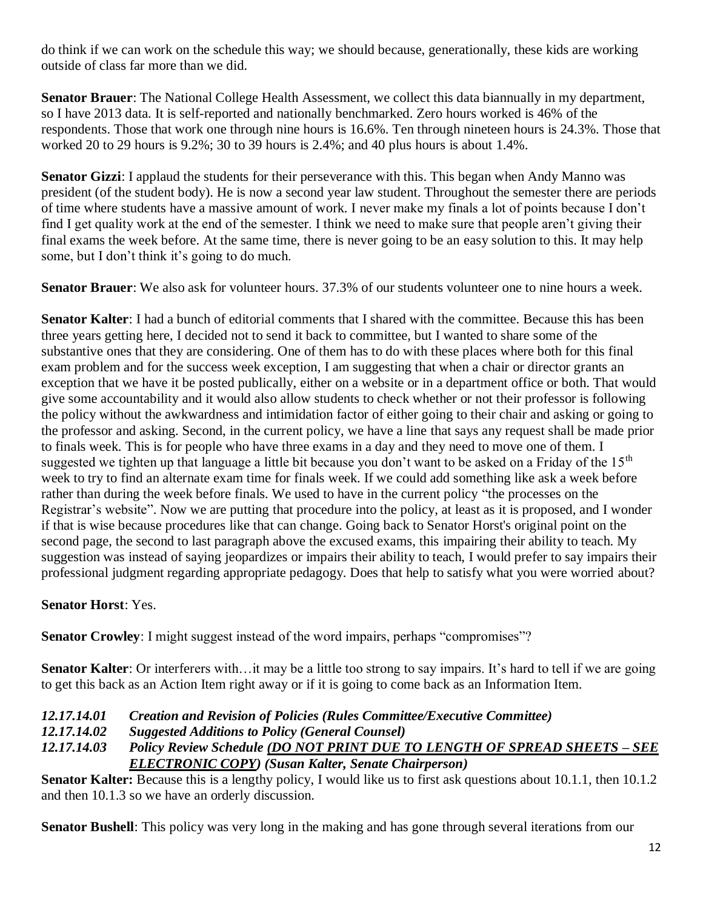do think if we can work on the schedule this way; we should because, generationally, these kids are working outside of class far more than we did.

**Senator Brauer**: The National College Health Assessment, we collect this data biannually in my department, so I have 2013 data. It is self-reported and nationally benchmarked. Zero hours worked is 46% of the respondents. Those that work one through nine hours is 16.6%. Ten through nineteen hours is 24.3%. Those that worked 20 to 29 hours is 9.2%; 30 to 39 hours is 2.4%; and 40 plus hours is about 1.4%.

**Senator Gizzi**: I applaud the students for their perseverance with this. This began when Andy Manno was president (of the student body). He is now a second year law student. Throughout the semester there are periods of time where students have a massive amount of work. I never make my finals a lot of points because I don't find I get quality work at the end of the semester. I think we need to make sure that people aren't giving their final exams the week before. At the same time, there is never going to be an easy solution to this. It may help some, but I don't think it's going to do much.

**Senator Brauer**: We also ask for volunteer hours. 37.3% of our students volunteer one to nine hours a week.

**Senator Kalter**: I had a bunch of editorial comments that I shared with the committee. Because this has been three years getting here, I decided not to send it back to committee, but I wanted to share some of the substantive ones that they are considering. One of them has to do with these places where both for this final exam problem and for the success week exception, I am suggesting that when a chair or director grants an exception that we have it be posted publically, either on a website or in a department office or both. That would give some accountability and it would also allow students to check whether or not their professor is following the policy without the awkwardness and intimidation factor of either going to their chair and asking or going to the professor and asking. Second, in the current policy, we have a line that says any request shall be made prior to finals week. This is for people who have three exams in a day and they need to move one of them. I suggested we tighten up that language a little bit because you don't want to be asked on a Friday of the 15<sup>th</sup> week to try to find an alternate exam time for finals week. If we could add something like ask a week before rather than during the week before finals. We used to have in the current policy "the processes on the Registrar's website". Now we are putting that procedure into the policy, at least as it is proposed, and I wonder if that is wise because procedures like that can change. Going back to Senator Horst's original point on the second page, the second to last paragraph above the excused exams, this impairing their ability to teach. My suggestion was instead of saying jeopardizes or impairs their ability to teach, I would prefer to say impairs their professional judgment regarding appropriate pedagogy. Does that help to satisfy what you were worried about?

## **Senator Horst**: Yes.

**Senator Crowley**: I might suggest instead of the word impairs, perhaps "compromises"?

**Senator Kalter**: Or interferers with…it may be a little too strong to say impairs. It's hard to tell if we are going to get this back as an Action Item right away or if it is going to come back as an Information Item.

*12.17.14.01 Creation and Revision of Policies (Rules Committee/Executive Committee)*

*12.17.14.02 Suggested Additions to Policy (General Counsel)*

*12.17.14.03 Policy Review Schedule (DO NOT PRINT DUE TO LENGTH OF SPREAD SHEETS – SEE ELECTRONIC COPY) (Susan Kalter, Senate Chairperson)*

**Senator Kalter:** Because this is a lengthy policy, I would like us to first ask questions about 10.1.1, then 10.1.2 and then 10.1.3 so we have an orderly discussion.

**Senator Bushell**: This policy was very long in the making and has gone through several iterations from our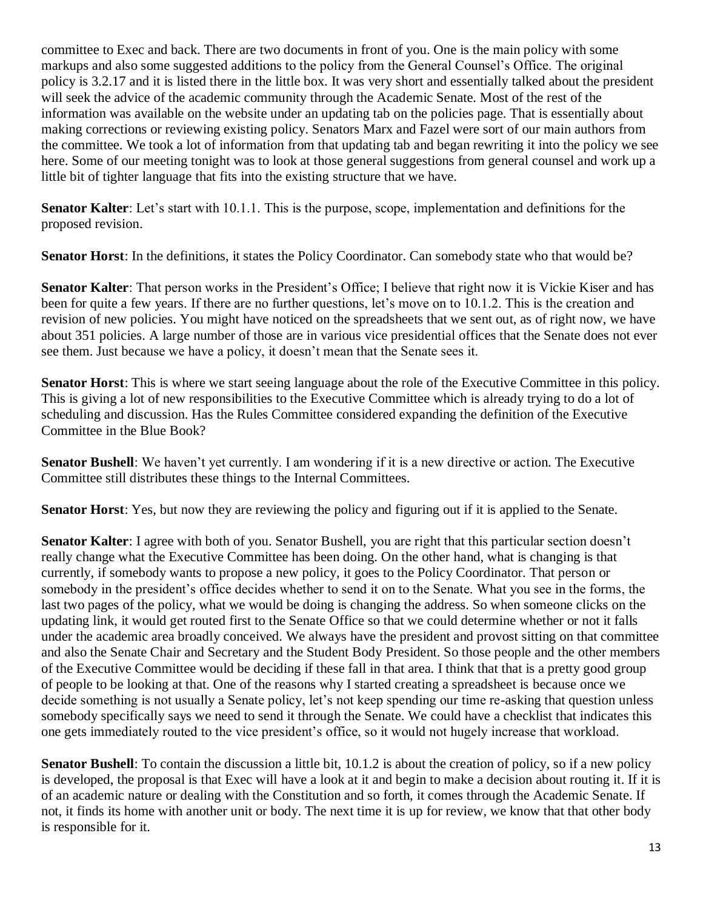committee to Exec and back. There are two documents in front of you. One is the main policy with some markups and also some suggested additions to the policy from the General Counsel's Office. The original policy is 3.2.17 and it is listed there in the little box. It was very short and essentially talked about the president will seek the advice of the academic community through the Academic Senate. Most of the rest of the information was available on the website under an updating tab on the policies page. That is essentially about making corrections or reviewing existing policy. Senators Marx and Fazel were sort of our main authors from the committee. We took a lot of information from that updating tab and began rewriting it into the policy we see here. Some of our meeting tonight was to look at those general suggestions from general counsel and work up a little bit of tighter language that fits into the existing structure that we have.

**Senator Kalter**: Let's start with 10.1.1. This is the purpose, scope, implementation and definitions for the proposed revision.

**Senator Horst**: In the definitions, it states the Policy Coordinator. Can somebody state who that would be?

**Senator Kalter**: That person works in the President's Office; I believe that right now it is Vickie Kiser and has been for quite a few years. If there are no further questions, let's move on to 10.1.2. This is the creation and revision of new policies. You might have noticed on the spreadsheets that we sent out, as of right now, we have about 351 policies. A large number of those are in various vice presidential offices that the Senate does not ever see them. Just because we have a policy, it doesn't mean that the Senate sees it.

**Senator Horst**: This is where we start seeing language about the role of the Executive Committee in this policy. This is giving a lot of new responsibilities to the Executive Committee which is already trying to do a lot of scheduling and discussion. Has the Rules Committee considered expanding the definition of the Executive Committee in the Blue Book?

**Senator Bushell**: We haven't yet currently. I am wondering if it is a new directive or action. The Executive Committee still distributes these things to the Internal Committees.

**Senator Horst**: Yes, but now they are reviewing the policy and figuring out if it is applied to the Senate.

**Senator Kalter**: I agree with both of you. Senator Bushell, you are right that this particular section doesn't really change what the Executive Committee has been doing. On the other hand, what is changing is that currently, if somebody wants to propose a new policy, it goes to the Policy Coordinator. That person or somebody in the president's office decides whether to send it on to the Senate. What you see in the forms, the last two pages of the policy, what we would be doing is changing the address. So when someone clicks on the updating link, it would get routed first to the Senate Office so that we could determine whether or not it falls under the academic area broadly conceived. We always have the president and provost sitting on that committee and also the Senate Chair and Secretary and the Student Body President. So those people and the other members of the Executive Committee would be deciding if these fall in that area. I think that that is a pretty good group of people to be looking at that. One of the reasons why I started creating a spreadsheet is because once we decide something is not usually a Senate policy, let's not keep spending our time re-asking that question unless somebody specifically says we need to send it through the Senate. We could have a checklist that indicates this one gets immediately routed to the vice president's office, so it would not hugely increase that workload.

**Senator Bushell:** To contain the discussion a little bit, 10.1.2 is about the creation of policy, so if a new policy is developed, the proposal is that Exec will have a look at it and begin to make a decision about routing it. If it is of an academic nature or dealing with the Constitution and so forth, it comes through the Academic Senate. If not, it finds its home with another unit or body. The next time it is up for review, we know that that other body is responsible for it.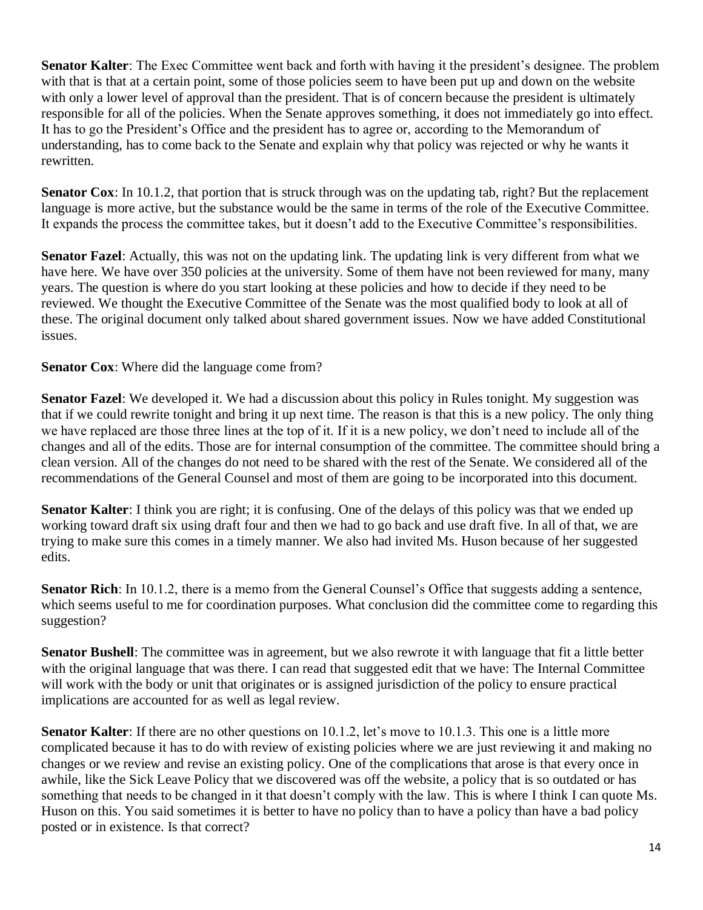**Senator Kalter**: The Exec Committee went back and forth with having it the president's designee. The problem with that is that at a certain point, some of those policies seem to have been put up and down on the website with only a lower level of approval than the president. That is of concern because the president is ultimately responsible for all of the policies. When the Senate approves something, it does not immediately go into effect. It has to go the President's Office and the president has to agree or, according to the Memorandum of understanding, has to come back to the Senate and explain why that policy was rejected or why he wants it rewritten.

**Senator Cox**: In 10.1.2, that portion that is struck through was on the updating tab, right? But the replacement language is more active, but the substance would be the same in terms of the role of the Executive Committee. It expands the process the committee takes, but it doesn't add to the Executive Committee's responsibilities.

**Senator Fazel**: Actually, this was not on the updating link. The updating link is very different from what we have here. We have over 350 policies at the university. Some of them have not been reviewed for many, many years. The question is where do you start looking at these policies and how to decide if they need to be reviewed. We thought the Executive Committee of the Senate was the most qualified body to look at all of these. The original document only talked about shared government issues. Now we have added Constitutional issues.

#### **Senator Cox**: Where did the language come from?

**Senator Fazel**: We developed it. We had a discussion about this policy in Rules tonight. My suggestion was that if we could rewrite tonight and bring it up next time. The reason is that this is a new policy. The only thing we have replaced are those three lines at the top of it. If it is a new policy, we don't need to include all of the changes and all of the edits. Those are for internal consumption of the committee. The committee should bring a clean version. All of the changes do not need to be shared with the rest of the Senate. We considered all of the recommendations of the General Counsel and most of them are going to be incorporated into this document.

**Senator Kalter**: I think you are right; it is confusing. One of the delays of this policy was that we ended up working toward draft six using draft four and then we had to go back and use draft five. In all of that, we are trying to make sure this comes in a timely manner. We also had invited Ms. Huson because of her suggested edits.

**Senator Rich**: In 10.1.2, there is a memo from the General Counsel's Office that suggests adding a sentence, which seems useful to me for coordination purposes. What conclusion did the committee come to regarding this suggestion?

**Senator Bushell**: The committee was in agreement, but we also rewrote it with language that fit a little better with the original language that was there. I can read that suggested edit that we have: The Internal Committee will work with the body or unit that originates or is assigned jurisdiction of the policy to ensure practical implications are accounted for as well as legal review.

**Senator Kalter**: If there are no other questions on 10.1.2, let's move to 10.1.3. This one is a little more complicated because it has to do with review of existing policies where we are just reviewing it and making no changes or we review and revise an existing policy. One of the complications that arose is that every once in awhile, like the Sick Leave Policy that we discovered was off the website, a policy that is so outdated or has something that needs to be changed in it that doesn't comply with the law. This is where I think I can quote Ms. Huson on this. You said sometimes it is better to have no policy than to have a policy than have a bad policy posted or in existence. Is that correct?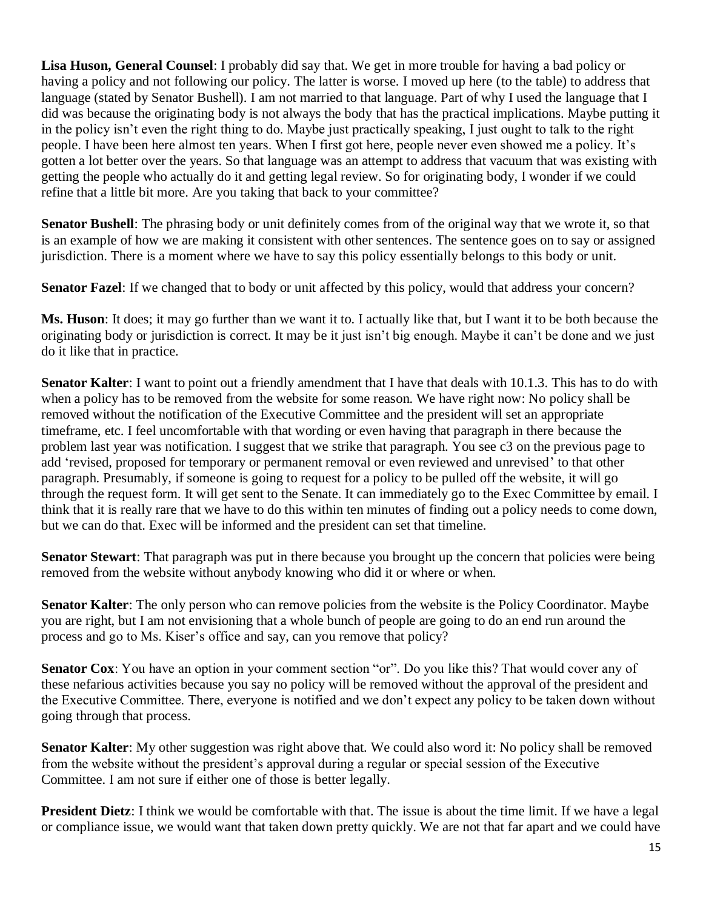**Lisa Huson, General Counsel**: I probably did say that. We get in more trouble for having a bad policy or having a policy and not following our policy. The latter is worse. I moved up here (to the table) to address that language (stated by Senator Bushell). I am not married to that language. Part of why I used the language that I did was because the originating body is not always the body that has the practical implications. Maybe putting it in the policy isn't even the right thing to do. Maybe just practically speaking, I just ought to talk to the right people. I have been here almost ten years. When I first got here, people never even showed me a policy. It's gotten a lot better over the years. So that language was an attempt to address that vacuum that was existing with getting the people who actually do it and getting legal review. So for originating body, I wonder if we could refine that a little bit more. Are you taking that back to your committee?

**Senator Bushell**: The phrasing body or unit definitely comes from of the original way that we wrote it, so that is an example of how we are making it consistent with other sentences. The sentence goes on to say or assigned jurisdiction. There is a moment where we have to say this policy essentially belongs to this body or unit.

**Senator Fazel**: If we changed that to body or unit affected by this policy, would that address your concern?

**Ms. Huson**: It does; it may go further than we want it to. I actually like that, but I want it to be both because the originating body or jurisdiction is correct. It may be it just isn't big enough. Maybe it can't be done and we just do it like that in practice.

**Senator Kalter**: I want to point out a friendly amendment that I have that deals with 10.1.3. This has to do with when a policy has to be removed from the website for some reason. We have right now: No policy shall be removed without the notification of the Executive Committee and the president will set an appropriate timeframe, etc. I feel uncomfortable with that wording or even having that paragraph in there because the problem last year was notification. I suggest that we strike that paragraph. You see c3 on the previous page to add 'revised, proposed for temporary or permanent removal or even reviewed and unrevised' to that other paragraph. Presumably, if someone is going to request for a policy to be pulled off the website, it will go through the request form. It will get sent to the Senate. It can immediately go to the Exec Committee by email. I think that it is really rare that we have to do this within ten minutes of finding out a policy needs to come down, but we can do that. Exec will be informed and the president can set that timeline.

**Senator Stewart**: That paragraph was put in there because you brought up the concern that policies were being removed from the website without anybody knowing who did it or where or when.

**Senator Kalter**: The only person who can remove policies from the website is the Policy Coordinator. Maybe you are right, but I am not envisioning that a whole bunch of people are going to do an end run around the process and go to Ms. Kiser's office and say, can you remove that policy?

**Senator Cox**: You have an option in your comment section "or". Do you like this? That would cover any of these nefarious activities because you say no policy will be removed without the approval of the president and the Executive Committee. There, everyone is notified and we don't expect any policy to be taken down without going through that process.

**Senator Kalter**: My other suggestion was right above that. We could also word it: No policy shall be removed from the website without the president's approval during a regular or special session of the Executive Committee. I am not sure if either one of those is better legally.

**President Dietz**: I think we would be comfortable with that. The issue is about the time limit. If we have a legal or compliance issue, we would want that taken down pretty quickly. We are not that far apart and we could have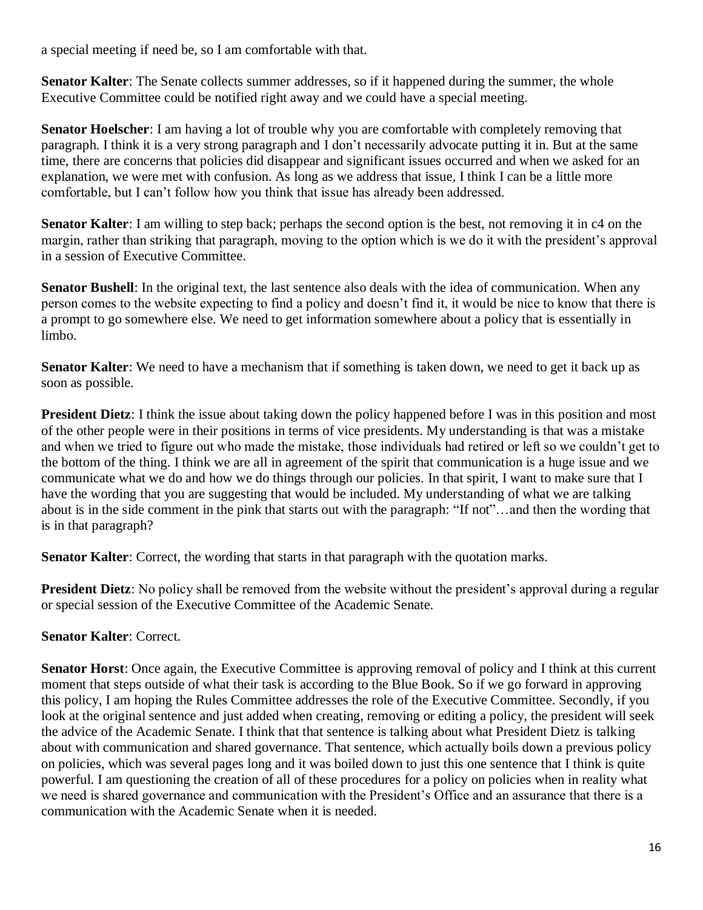a special meeting if need be, so I am comfortable with that.

**Senator Kalter:** The Senate collects summer addresses, so if it happened during the summer, the whole Executive Committee could be notified right away and we could have a special meeting.

**Senator Hoelscher**: I am having a lot of trouble why you are comfortable with completely removing that paragraph. I think it is a very strong paragraph and I don't necessarily advocate putting it in. But at the same time, there are concerns that policies did disappear and significant issues occurred and when we asked for an explanation, we were met with confusion. As long as we address that issue, I think I can be a little more comfortable, but I can't follow how you think that issue has already been addressed.

**Senator Kalter**: I am willing to step back; perhaps the second option is the best, not removing it in c4 on the margin, rather than striking that paragraph, moving to the option which is we do it with the president's approval in a session of Executive Committee.

**Senator Bushell**: In the original text, the last sentence also deals with the idea of communication. When any person comes to the website expecting to find a policy and doesn't find it, it would be nice to know that there is a prompt to go somewhere else. We need to get information somewhere about a policy that is essentially in limbo.

**Senator Kalter**: We need to have a mechanism that if something is taken down, we need to get it back up as soon as possible.

**President Dietz**: I think the issue about taking down the policy happened before I was in this position and most of the other people were in their positions in terms of vice presidents. My understanding is that was a mistake and when we tried to figure out who made the mistake, those individuals had retired or left so we couldn't get to the bottom of the thing. I think we are all in agreement of the spirit that communication is a huge issue and we communicate what we do and how we do things through our policies. In that spirit, I want to make sure that I have the wording that you are suggesting that would be included. My understanding of what we are talking about is in the side comment in the pink that starts out with the paragraph: "If not"…and then the wording that is in that paragraph?

**Senator Kalter:** Correct, the wording that starts in that paragraph with the quotation marks.

**President Dietz**: No policy shall be removed from the website without the president's approval during a regular or special session of the Executive Committee of the Academic Senate.

#### **Senator Kalter**: Correct.

**Senator Horst:** Once again, the Executive Committee is approving removal of policy and I think at this current moment that steps outside of what their task is according to the Blue Book. So if we go forward in approving this policy, I am hoping the Rules Committee addresses the role of the Executive Committee. Secondly, if you look at the original sentence and just added when creating, removing or editing a policy, the president will seek the advice of the Academic Senate. I think that that sentence is talking about what President Dietz is talking about with communication and shared governance. That sentence, which actually boils down a previous policy on policies, which was several pages long and it was boiled down to just this one sentence that I think is quite powerful. I am questioning the creation of all of these procedures for a policy on policies when in reality what we need is shared governance and communication with the President's Office and an assurance that there is a communication with the Academic Senate when it is needed.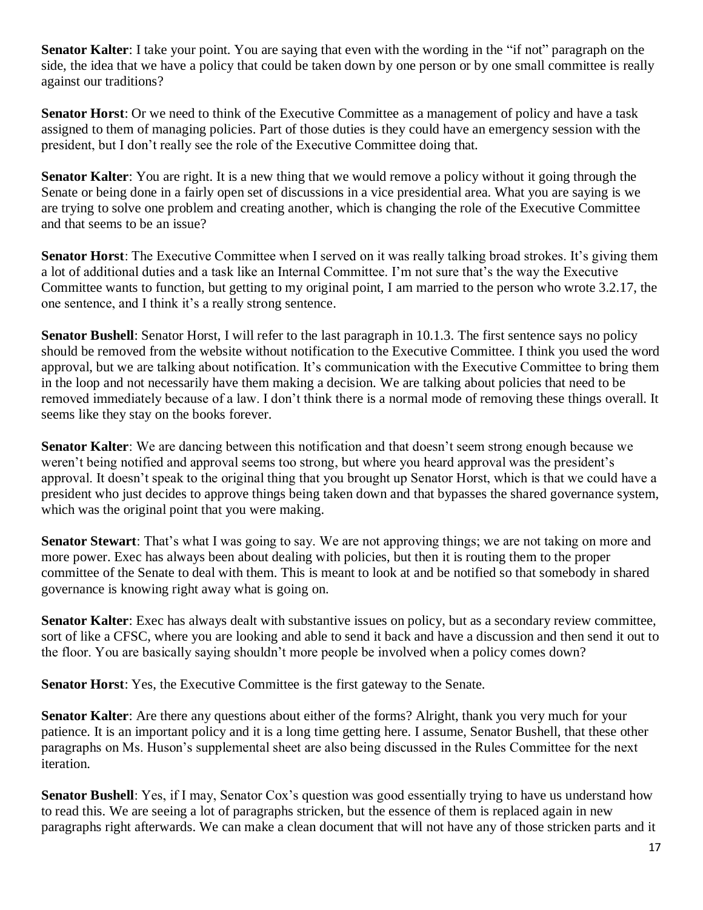**Senator Kalter**: I take your point. You are saying that even with the wording in the "if not" paragraph on the side, the idea that we have a policy that could be taken down by one person or by one small committee is really against our traditions?

**Senator Horst**: Or we need to think of the Executive Committee as a management of policy and have a task assigned to them of managing policies. Part of those duties is they could have an emergency session with the president, but I don't really see the role of the Executive Committee doing that.

**Senator Kalter**: You are right. It is a new thing that we would remove a policy without it going through the Senate or being done in a fairly open set of discussions in a vice presidential area. What you are saying is we are trying to solve one problem and creating another, which is changing the role of the Executive Committee and that seems to be an issue?

**Senator Horst**: The Executive Committee when I served on it was really talking broad strokes. It's giving them a lot of additional duties and a task like an Internal Committee. I'm not sure that's the way the Executive Committee wants to function, but getting to my original point, I am married to the person who wrote 3.2.17, the one sentence, and I think it's a really strong sentence.

**Senator Bushell:** Senator Horst, I will refer to the last paragraph in 10.1.3. The first sentence says no policy should be removed from the website without notification to the Executive Committee. I think you used the word approval, but we are talking about notification. It's communication with the Executive Committee to bring them in the loop and not necessarily have them making a decision. We are talking about policies that need to be removed immediately because of a law. I don't think there is a normal mode of removing these things overall. It seems like they stay on the books forever.

**Senator Kalter**: We are dancing between this notification and that doesn't seem strong enough because we weren't being notified and approval seems too strong, but where you heard approval was the president's approval. It doesn't speak to the original thing that you brought up Senator Horst, which is that we could have a president who just decides to approve things being taken down and that bypasses the shared governance system, which was the original point that you were making.

**Senator Stewart**: That's what I was going to say. We are not approving things; we are not taking on more and more power. Exec has always been about dealing with policies, but then it is routing them to the proper committee of the Senate to deal with them. This is meant to look at and be notified so that somebody in shared governance is knowing right away what is going on.

**Senator Kalter**: Exec has always dealt with substantive issues on policy, but as a secondary review committee, sort of like a CFSC, where you are looking and able to send it back and have a discussion and then send it out to the floor. You are basically saying shouldn't more people be involved when a policy comes down?

**Senator Horst**: Yes, the Executive Committee is the first gateway to the Senate.

**Senator Kalter**: Are there any questions about either of the forms? Alright, thank you very much for your patience. It is an important policy and it is a long time getting here. I assume, Senator Bushell, that these other paragraphs on Ms. Huson's supplemental sheet are also being discussed in the Rules Committee for the next iteration.

**Senator Bushell**: Yes, if I may, Senator Cox's question was good essentially trying to have us understand how to read this. We are seeing a lot of paragraphs stricken, but the essence of them is replaced again in new paragraphs right afterwards. We can make a clean document that will not have any of those stricken parts and it